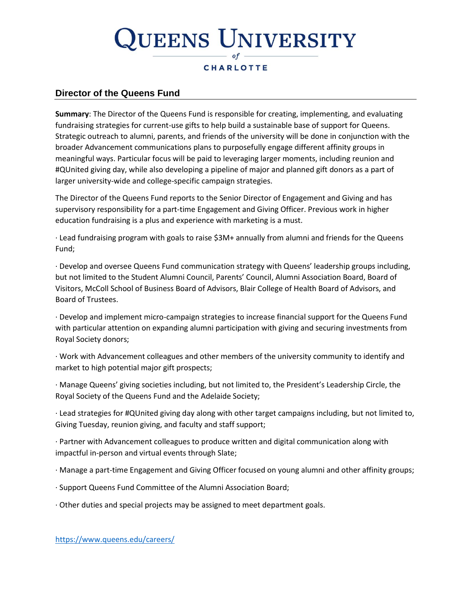# UEENS UNIVERSITY

### **CHARLOTTE**

### **Director of the Queens Fund**

**Summary**: The Director of the Queens Fund is responsible for creating, implementing, and evaluating fundraising strategies for current-use gifts to help build a sustainable base of support for Queens. Strategic outreach to alumni, parents, and friends of the university will be done in conjunction with the broader Advancement communications plans to purposefully engage different affinity groups in meaningful ways. Particular focus will be paid to leveraging larger moments, including reunion and #QUnited giving day, while also developing a pipeline of major and planned gift donors as a part of larger university-wide and college-specific campaign strategies.

The Director of the Queens Fund reports to the Senior Director of Engagement and Giving and has supervisory responsibility for a part-time Engagement and Giving Officer. Previous work in higher education fundraising is a plus and experience with marketing is a must.

· Lead fundraising program with goals to raise \$3M+ annually from alumni and friends for the Queens Fund;

· Develop and oversee Queens Fund communication strategy with Queens' leadership groups including, but not limited to the Student Alumni Council, Parents' Council, Alumni Association Board, Board of Visitors, McColl School of Business Board of Advisors, Blair College of Health Board of Advisors, and Board of Trustees.

· Develop and implement micro-campaign strategies to increase financial support for the Queens Fund with particular attention on expanding alumni participation with giving and securing investments from Royal Society donors;

· Work with Advancement colleagues and other members of the university community to identify and market to high potential major gift prospects;

· Manage Queens' giving societies including, but not limited to, the President's Leadership Circle, the Royal Society of the Queens Fund and the Adelaide Society;

· Lead strategies for #QUnited giving day along with other target campaigns including, but not limited to, Giving Tuesday, reunion giving, and faculty and staff support;

· Partner with Advancement colleagues to produce written and digital communication along with impactful in-person and virtual events through Slate;

· Manage a part-time Engagement and Giving Officer focused on young alumni and other affinity groups;

- · Support Queens Fund Committee of the Alumni Association Board;
- · Other duties and special projects may be assigned to meet department goals.